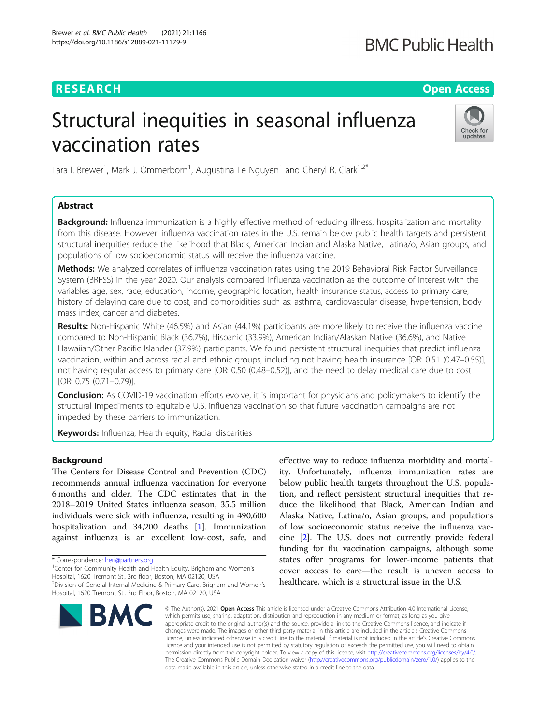## **RESEARCH CHE Open Access**

## **BMC Public Health**

# Structural inequities in seasonal influenza vaccination rates



Lara I. Brewer<sup>1</sup>, Mark J. Ommerborn<sup>1</sup>, Augustina Le Nguyen<sup>1</sup> and Cheryl R. Clark<sup>1,2\*</sup>

## Abstract

Background: Influenza immunization is a highly effective method of reducing illness, hospitalization and mortality from this disease. However, influenza vaccination rates in the U.S. remain below public health targets and persistent structural inequities reduce the likelihood that Black, American Indian and Alaska Native, Latina/o, Asian groups, and populations of low socioeconomic status will receive the influenza vaccine.

Methods: We analyzed correlates of influenza vaccination rates using the 2019 Behavioral Risk Factor Surveillance System (BRFSS) in the year 2020. Our analysis compared influenza vaccination as the outcome of interest with the variables age, sex, race, education, income, geographic location, health insurance status, access to primary care, history of delaying care due to cost, and comorbidities such as: asthma, cardiovascular disease, hypertension, body mass index, cancer and diabetes.

Results: Non-Hispanic White (46.5%) and Asian (44.1%) participants are more likely to receive the influenza vaccine compared to Non-Hispanic Black (36.7%), Hispanic (33.9%), American Indian/Alaskan Native (36.6%), and Native Hawaiian/Other Pacific Islander (37.9%) participants. We found persistent structural inequities that predict influenza vaccination, within and across racial and ethnic groups, including not having health insurance [OR: 0.51 (0.47–0.55)], not having regular access to primary care [OR: 0.50 (0.48–0.52)], and the need to delay medical care due to cost [OR: 0.75 (0.71–0.79)].

**Conclusion:** As COVID-19 vaccination efforts evolve, it is important for physicians and policymakers to identify the structural impediments to equitable U.S. influenza vaccination so that future vaccination campaigns are not impeded by these barriers to immunization.

Keywords: Influenza, Health equity, Racial disparities

### **Background**

The Centers for Disease Control and Prevention (CDC) recommends annual influenza vaccination for everyone 6 months and older. The CDC estimates that in the 2018–2019 United States influenza season, 35.5 million individuals were sick with influenza, resulting in 490,600 hospitalization and 34,200 deaths [\[1](#page-11-0)]. Immunization against influenza is an excellent low-cost, safe, and

Hospital, 1620 Tremont St., 3rd floor, Boston, MA 02120, USA

<sup>2</sup> Division of General Internal Medicine & Primary Care, Brigham and Women's Hospital, 1620 Tremont St., 3rd Floor, Boston, MA 02120, USA



effective way to reduce influenza morbidity and mortality. Unfortunately, influenza immunization rates are below public health targets throughout the U.S. population, and reflect persistent structural inequities that reduce the likelihood that Black, American Indian and Alaska Native, Latina/o, Asian groups, and populations of low socioeconomic status receive the influenza vaccine [\[2\]](#page-11-0). The U.S. does not currently provide federal funding for flu vaccination campaigns, although some states offer programs for lower-income patients that cover access to care—the result is uneven access to healthcare, which is a structural issue in the U.S.

© The Author(s), 2021 **Open Access** This article is licensed under a Creative Commons Attribution 4.0 International License, which permits use, sharing, adaptation, distribution and reproduction in any medium or format, as long as you give appropriate credit to the original author(s) and the source, provide a link to the Creative Commons licence, and indicate if changes were made. The images or other third party material in this article are included in the article's Creative Commons licence, unless indicated otherwise in a credit line to the material. If material is not included in the article's Creative Commons licence and your intended use is not permitted by statutory regulation or exceeds the permitted use, you will need to obtain permission directly from the copyright holder. To view a copy of this licence, visit [http://creativecommons.org/licenses/by/4.0/.](http://creativecommons.org/licenses/by/4.0/) The Creative Commons Public Domain Dedication waiver [\(http://creativecommons.org/publicdomain/zero/1.0/](http://creativecommons.org/publicdomain/zero/1.0/)) applies to the data made available in this article, unless otherwise stated in a credit line to the data.

<sup>\*</sup> Correspondence: [heri@partners.org](mailto:heri@partners.org) <sup>1</sup>

<sup>&</sup>lt;sup>1</sup> Center for Community Health and Health Equity, Brigham and Women's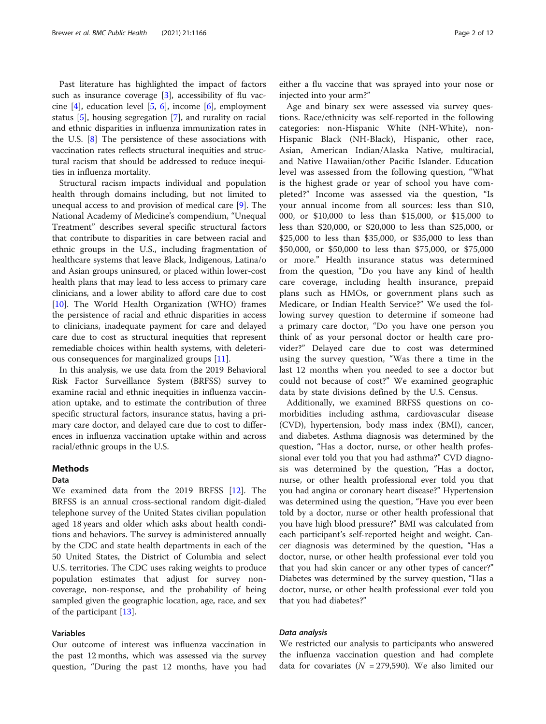Past literature has highlighted the impact of factors such as insurance coverage  $[3]$  $[3]$ , accessibility of flu vaccine [\[4](#page-11-0)], education level [[5](#page-11-0), [6](#page-11-0)], income [\[6](#page-11-0)], employment status [[5\]](#page-11-0), housing segregation [\[7](#page-11-0)], and rurality on racial and ethnic disparities in influenza immunization rates in the U.S. [\[8](#page-11-0)] The persistence of these associations with vaccination rates reflects structural inequities and structural racism that should be addressed to reduce inequities in influenza mortality.

Structural racism impacts individual and population health through domains including, but not limited to unequal access to and provision of medical care [[9\]](#page-11-0). The National Academy of Medicine's compendium, "Unequal Treatment" describes several specific structural factors that contribute to disparities in care between racial and ethnic groups in the U.S., including fragmentation of healthcare systems that leave Black, Indigenous, Latina/o and Asian groups uninsured, or placed within lower-cost health plans that may lead to less access to primary care clinicians, and a lower ability to afford care due to cost [[10\]](#page-11-0). The World Health Organization (WHO) frames the persistence of racial and ethnic disparities in access to clinicians, inadequate payment for care and delayed care due to cost as structural inequities that represent remediable choices within health systems, with deleterious consequences for marginalized groups [[11](#page-11-0)].

In this analysis, we use data from the 2019 Behavioral Risk Factor Surveillance System (BRFSS) survey to examine racial and ethnic inequities in influenza vaccination uptake, and to estimate the contribution of three specific structural factors, insurance status, having a primary care doctor, and delayed care due to cost to differences in influenza vaccination uptake within and across racial/ethnic groups in the U.S.

## **Methods**

#### Data

We examined data from the 2019 BRFSS [\[12\]](#page-11-0). The BRFSS is an annual cross-sectional random digit-dialed telephone survey of the United States civilian population aged 18 years and older which asks about health conditions and behaviors. The survey is administered annually by the CDC and state health departments in each of the 50 United States, the District of Columbia and select U.S. territories. The CDC uses raking weights to produce population estimates that adjust for survey noncoverage, non-response, and the probability of being sampled given the geographic location, age, race, and sex of the participant [[13\]](#page-11-0).

#### Variables

Our outcome of interest was influenza vaccination in the past 12 months, which was assessed via the survey question, "During the past 12 months, have you had

either a flu vaccine that was sprayed into your nose or injected into your arm?"

Age and binary sex were assessed via survey questions. Race/ethnicity was self-reported in the following categories: non-Hispanic White (NH-White), non-Hispanic Black (NH-Black), Hispanic, other race, Asian, American Indian/Alaska Native, multiracial, and Native Hawaiian/other Pacific Islander. Education level was assessed from the following question, "What is the highest grade or year of school you have completed?" Income was assessed via the question, "Is your annual income from all sources: less than \$10, 000, or \$10,000 to less than \$15,000, or \$15,000 to less than \$20,000, or \$20,000 to less than \$25,000, or \$25,000 to less than \$35,000, or \$35,000 to less than \$50,000, or \$50,000 to less than \$75,000, or \$75,000 or more." Health insurance status was determined from the question, "Do you have any kind of health care coverage, including health insurance, prepaid plans such as HMOs, or government plans such as Medicare, or Indian Health Service?" We used the following survey question to determine if someone had a primary care doctor, "Do you have one person you think of as your personal doctor or health care provider?" Delayed care due to cost was determined using the survey question, "Was there a time in the last 12 months when you needed to see a doctor but could not because of cost?" We examined geographic data by state divisions defined by the U.S. Census.

Additionally, we examined BRFSS questions on comorbidities including asthma, cardiovascular disease (CVD), hypertension, body mass index (BMI), cancer, and diabetes. Asthma diagnosis was determined by the question, "Has a doctor, nurse, or other health professional ever told you that you had asthma?" CVD diagnosis was determined by the question, "Has a doctor, nurse, or other health professional ever told you that you had angina or coronary heart disease?" Hypertension was determined using the question, "Have you ever been told by a doctor, nurse or other health professional that you have high blood pressure?" BMI was calculated from each participant's self-reported height and weight. Cancer diagnosis was determined by the question, "Has a doctor, nurse, or other health professional ever told you that you had skin cancer or any other types of cancer?" Diabetes was determined by the survey question, "Has a doctor, nurse, or other health professional ever told you that you had diabetes?"

#### Data analysis

We restricted our analysis to participants who answered the influenza vaccination question and had complete data for covariates ( $N = 279,590$ ). We also limited our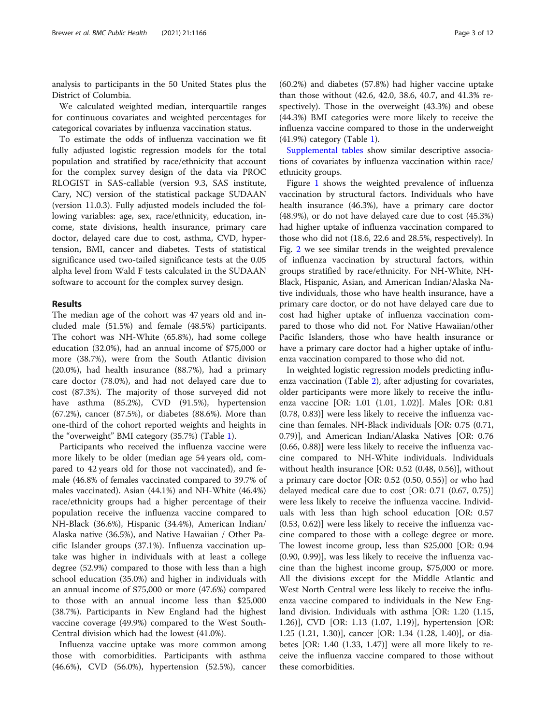analysis to participants in the 50 United States plus the District of Columbia.

We calculated weighted median, interquartile ranges for continuous covariates and weighted percentages for categorical covariates by influenza vaccination status.

To estimate the odds of influenza vaccination we fit fully adjusted logistic regression models for the total population and stratified by race/ethnicity that account for the complex survey design of the data via PROC RLOGIST in SAS-callable (version 9.3, SAS institute, Cary, NC) version of the statistical package SUDAAN (version 11.0.3). Fully adjusted models included the following variables: age, sex, race/ethnicity, education, income, state divisions, health insurance, primary care doctor, delayed care due to cost, asthma, CVD, hypertension, BMI, cancer and diabetes. Tests of statistical significance used two-tailed significance tests at the 0.05 alpha level from Wald F tests calculated in the SUDAAN software to account for the complex survey design.

#### Results

The median age of the cohort was 47 years old and included male (51.5%) and female (48.5%) participants. The cohort was NH-White (65.8%), had some college education (32.0%), had an annual income of \$75,000 or more (38.7%), were from the South Atlantic division (20.0%), had health insurance (88.7%), had a primary care doctor (78.0%), and had not delayed care due to cost (87.3%). The majority of those surveyed did not have asthma (85.2%), CVD (91.5%), hypertension (67.2%), cancer (87.5%), or diabetes (88.6%). More than one-third of the cohort reported weights and heights in the "overweight" BMI category (35.7%) (Table [1\)](#page-3-0).

Participants who received the influenza vaccine were more likely to be older (median age 54 years old, compared to 42 years old for those not vaccinated), and female (46.8% of females vaccinated compared to 39.7% of males vaccinated). Asian (44.1%) and NH-White (46.4%) race/ethnicity groups had a higher percentage of their population receive the influenza vaccine compared to NH-Black (36.6%), Hispanic (34.4%), American Indian/ Alaska native (36.5%), and Native Hawaiian / Other Pacific Islander groups (37.1%). Influenza vaccination uptake was higher in individuals with at least a college degree (52.9%) compared to those with less than a high school education (35.0%) and higher in individuals with an annual income of \$75,000 or more (47.6%) compared to those with an annual income less than \$25,000 (38.7%). Participants in New England had the highest vaccine coverage (49.9%) compared to the West South-Central division which had the lowest (41.0%).

Influenza vaccine uptake was more common among those with comorbidities. Participants with asthma (46.6%), CVD (56.0%), hypertension (52.5%), cancer

(60.2%) and diabetes (57.8%) had higher vaccine uptake than those without (42.6, 42.0, 38.6, 40.7, and 41.3% respectively). Those in the overweight (43.3%) and obese (44.3%) BMI categories were more likely to receive the influenza vaccine compared to those in the underweight (41.9%) category (Table [1\)](#page-3-0).

[Supplemental tables](#page-11-0) show similar descriptive associations of covariates by influenza vaccination within race/ ethnicity groups.

Figure [1](#page-5-0) shows the weighted prevalence of influenza vaccination by structural factors. Individuals who have health insurance (46.3%), have a primary care doctor (48.9%), or do not have delayed care due to cost (45.3%) had higher uptake of influenza vaccination compared to those who did not (18.6, 22.6 and 28.5%, respectively). In Fig. [2](#page-6-0) we see similar trends in the weighted prevalence of influenza vaccination by structural factors, within groups stratified by race/ethnicity. For NH-White, NH-Black, Hispanic, Asian, and American Indian/Alaska Native individuals, those who have health insurance, have a primary care doctor, or do not have delayed care due to cost had higher uptake of influenza vaccination compared to those who did not. For Native Hawaiian/other Pacific Islanders, those who have health insurance or have a primary care doctor had a higher uptake of influenza vaccination compared to those who did not.

In weighted logistic regression models predicting influenza vaccination (Table [2](#page-7-0)), after adjusting for covariates, older participants were more likely to receive the influenza vaccine [OR: 1.01 (1.01, 1.02)]. Males [OR: 0.81 (0.78, 0.83)] were less likely to receive the influenza vaccine than females. NH-Black individuals [OR: 0.75 (0.71, 0.79)], and American Indian/Alaska Natives [OR: 0.76 (0.66, 0.88)] were less likely to receive the influenza vaccine compared to NH-White individuals. Individuals without health insurance [OR: 0.52 (0.48, 0.56)], without a primary care doctor [OR: 0.52 (0.50, 0.55)] or who had delayed medical care due to cost [OR: 0.71 (0.67, 0.75)] were less likely to receive the influenza vaccine. Individuals with less than high school education [OR: 0.57 (0.53, 0.62)] were less likely to receive the influenza vaccine compared to those with a college degree or more. The lowest income group, less than \$25,000 [OR: 0.94 (0.90, 0.99)], was less likely to receive the influenza vaccine than the highest income group, \$75,000 or more. All the divisions except for the Middle Atlantic and West North Central were less likely to receive the influenza vaccine compared to individuals in the New England division. Individuals with asthma [OR: 1.20 (1.15, 1.26)], CVD [OR: 1.13 (1.07, 1.19)], hypertension [OR: 1.25 (1.21, 1.30)], cancer [OR: 1.34 (1.28, 1.40)], or diabetes [OR: 1.40 (1.33, 1.47)] were all more likely to receive the influenza vaccine compared to those without these comorbidities.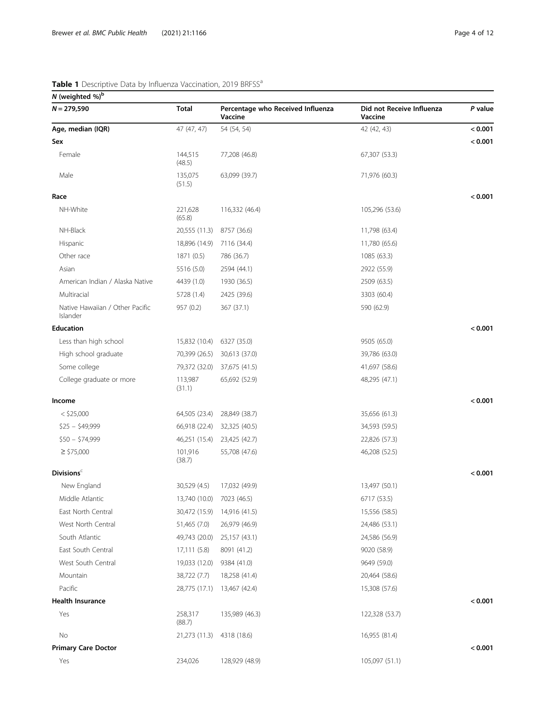<span id="page-3-0"></span>N (weighted  $%$ )<sup>b</sup>  $N = 279,590$  Total Percentage who Received Influenza Vaccine Did not Receive Influenza Vaccine P value Age, median (IQR) 47 (47, 47) 54 (54, 54) 42 (42, 43) 42 (42, 43) 42 (42, 43) Sex < 0.001 Female 144,515 (48.5) 77,208 (46.8) 67,307 (53.3) Male 135,075 (51.5) 63,099 (39.7) 71,976 (60.3) Race  $< 0.001$ NH-White 221,628 (65.8) 116,332 (46.4) 105,296 (53.6) NH-Black 20,555 (11.3) 8757 (36.6) 11,798 (63.4) Hispanic 18,896 (14.9) 7116 (34.4) 11,780 (65.6) Other race 1871 (0.5) 786 (36.7) 1085 (63.3) Asian 5516 (5.0) 2594 (44.1) 2922 (55.9) American Indian / Alaska Native 4439 (1.0) 1930 (36.5) 2509 (63.5) Multiracial 5728 (1.4) 2425 (39.6) 3303 (60.4) Native Hawaiian / Other Pacific Islander 957 (0.2) 367 (37.1) 590 (62.9) Education < 0.001 Less than high school 15,832 (10.4) 6327 (35.0) 9505 (65.0) High school graduate 70,399 (26.5) 30,613 (37.0) 39,786 (63.0) Some college 79,372 (32.0) 37,675 (41.5) 41,697 (58.6) College graduate or more 113,987 (31.1) 65,692 (52.9) 48,295 (47.1) Income < 0.001 < \$25,000 64,505 (23.4) 28,849 (38.7) 35,656 (61.3) \$25 – \$49,999 66,918 (22.4) 32,325 (40.5) 34,593 (59.5) \$50 – \$74,999 46,251 (15.4) 23,425 (42.7) 22,826 (57.3)  $\geq$  \$75,000 101,916 (38.7) 55,708 (47.6) 46,208 (52.5)  $\mathsf{Divisions}^\mathsf{c}$   $<$  0.001  $\mathsf{A}$ New England 30,529 (4.5) 17,032 (49.9) 17,032 (49.9) 13,497 (50.1) Middle Atlantic 13,740 (10.0) 7023 (46.5) 6717 (53.5) East North Central 30,472 (15.9) 14,916 (41.5) 15,556 (58.5) West North Central 51,465 (7.0) 26,979 (46.9) 24,486 (53.1) South Atlantic 49,743 (20.0) 25,157 (43.1) 24,586 (56.9) East South Central 17,111 (5.8) 8091 (41.2) 9020 (58.9) West South Central 19,033 (12.0) 9384 (41.0) 9649 (59.0) Mountain 38,722 (7.7) 18,258 (41.4) 20,464 (58.6) Pacific 28,775 (17.1) 13,467 (42.4) 15,308 (57.6) Health Insurance < 0.001 Yes 258,317 (88.7) 135,989 (46.3) 122,328 (53.7) No 21,273 (11.3) 4318 (18.6) 16,955 (81.4) Primary Care Doctor  $< 0.001$ Yes 234,026 128,929 (48.9) 105,097 (51.1)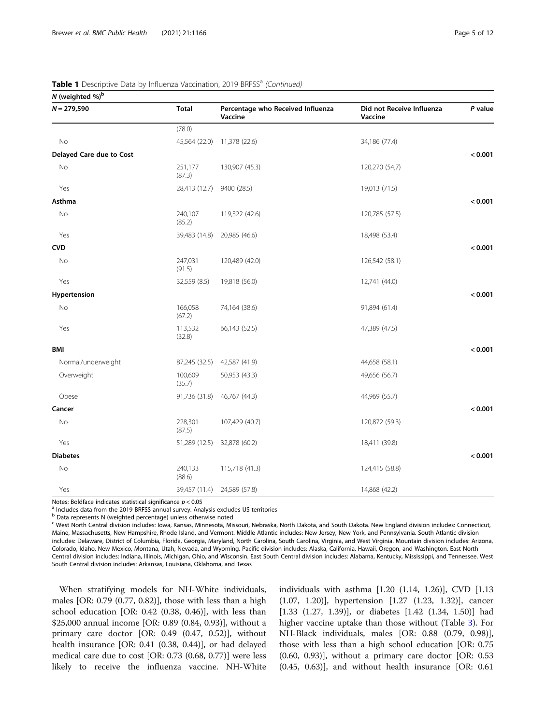| N (weighted %) <sup>b</sup> |                   |                                              |                                      |         |
|-----------------------------|-------------------|----------------------------------------------|--------------------------------------|---------|
| $N = 279,590$               | <b>Total</b>      | Percentage who Received Influenza<br>Vaccine | Did not Receive Influenza<br>Vaccine | P value |
|                             | (78.0)            |                                              |                                      |         |
| No                          | 45,564 (22.0)     | 11,378 (22.6)                                | 34,186 (77.4)                        |         |
| Delayed Care due to Cost    |                   |                                              |                                      | < 0.001 |
| No                          | 251,177<br>(87.3) | 130,907 (45.3)                               | 120,270 (54,7)                       |         |
| Yes                         | 28,413 (12.7)     | 9400 (28.5)                                  | 19,013 (71.5)                        |         |
| Asthma                      |                   |                                              |                                      | < 0.001 |
| $\rm No$                    | 240,107<br>(85.2) | 119,322 (42.6)                               | 120,785 (57.5)                       |         |
| Yes                         | 39,483 (14.8)     | 20,985 (46.6)                                | 18,498 (53.4)                        |         |
| <b>CVD</b>                  |                   |                                              |                                      | < 0.001 |
| No                          | 247,031<br>(91.5) | 120,489 (42.0)                               | 126,542 (58.1)                       |         |
| Yes                         | 32,559 (8.5)      | 19,818 (56.0)                                | 12,741 (44.0)                        |         |
| Hypertension                |                   |                                              |                                      | < 0.001 |
| No                          | 166,058<br>(67.2) | 74,164 (38.6)                                | 91,894 (61.4)                        |         |
| Yes                         | 113,532<br>(32.8) | 66,143 (52.5)                                | 47,389 (47.5)                        |         |
| <b>BMI</b>                  |                   |                                              |                                      | < 0.001 |
| Normal/underweight          | 87,245 (32.5)     | 42,587 (41.9)                                | 44,658 (58.1)                        |         |
| Overweight                  | 100,609<br>(35.7) | 50,953 (43.3)                                | 49,656 (56.7)                        |         |
| Obese                       | 91,736 (31.8)     | 46,767 (44.3)                                | 44,969 (55.7)                        |         |
| Cancer                      |                   |                                              |                                      | < 0.001 |
| No                          | 228,301<br>(87.5) | 107,429 (40.7)                               | 120,872 (59.3)                       |         |
| Yes                         | 51,289 (12.5)     | 32,878 (60.2)                                | 18,411 (39.8)                        |         |
| <b>Diabetes</b>             |                   |                                              |                                      | < 0.001 |
| $\rm No$                    | 240,133<br>(88.6) | 115,718 (41.3)                               | 124,415 (58.8)                       |         |
| Yes                         | 39,457 (11.4)     | 24,589 (57.8)                                | 14,868 (42.2)                        |         |

#### Table 1 Descriptive Data by Influenza Vaccination, 2019 BRFSS<sup>a</sup> (Continued)

Notes: Boldface indicates statistical significance  $p < 0.05$ <br><sup>a</sup> Includes data from the 2019 BRFSS annual survey. Analysis excludes US territories

 $<sup>b</sup>$  Data represents N (weighted percentage) unless otherwise noted</sup>

<sup>c</sup> West North Central division includes: Iowa, Kansas, Minnesota, Missouri, Nebraska, North Dakota, and South Dakota. New England division includes: Connecticut, Maine, Massachusetts, New Hampshire, Rhode Island, and Vermont. Middle Atlantic includes: New Jersey, New York, and Pennsylvania. South Atlantic division includes: Delaware, District of Columbia, Florida, Georgia, Maryland, North Carolina, South Carolina, Virginia, and West Virginia. Mountain division includes: Arizona, Colorado, Idaho, New Mexico, Montana, Utah, Nevada, and Wyoming. Pacific division includes: Alaska, California, Hawaii, Oregon, and Washington. East North Central division includes: Indiana, Illinois, Michigan, Ohio, and Wisconsin. East South Central division includes: Alabama, Kentucky, Mississippi, and Tennessee. West South Central division includes: Arkansas, Louisiana, Oklahoma, and Texas

When stratifying models for NH-White individuals, males [OR: 0.79 (0.77, 0.82)], those with less than a high school education [OR: 0.42 (0.38, 0.46)], with less than \$25,000 annual income [OR: 0.89 (0.84, 0.93)], without a primary care doctor [OR: 0.49 (0.47, 0.52)], without health insurance [OR: 0.41 (0.38, 0.44)], or had delayed medical care due to cost [OR: 0.73 (0.68, 0.77)] were less likely to receive the influenza vaccine. NH-White individuals with asthma [1.20 (1.14, 1.26)], CVD [1.13 (1.07, 1.20)], hypertension [1.27 (1.23, 1.32)], cancer [1.33 (1.27, 1.39)], or diabetes [1.42 (1.34, 1.50)] had higher vaccine uptake than those without (Table [3\)](#page-9-0). For NH-Black individuals, males [OR: 0.88 (0.79, 0.98)], those with less than a high school education [OR: 0.75 (0.60, 0.93)], without a primary care doctor [OR: 0.53 (0.45, 0.63)], and without health insurance [OR: 0.61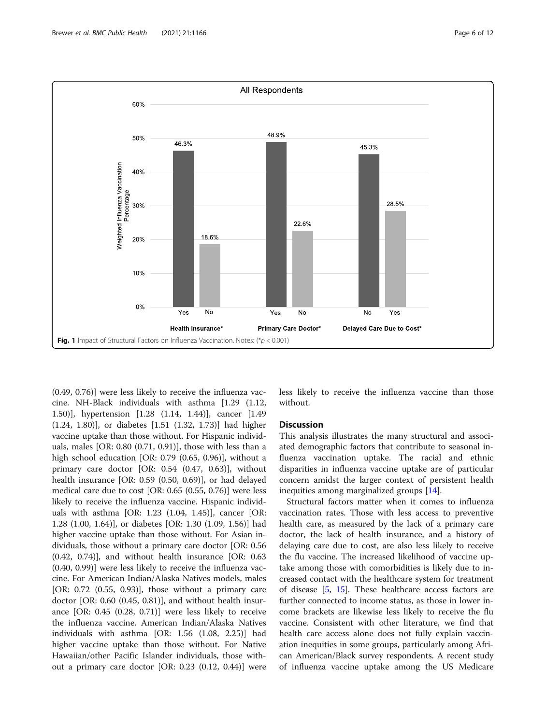<span id="page-5-0"></span>

(0.49, 0.76)] were less likely to receive the influenza vaccine. NH-Black individuals with asthma [1.29 (1.12, 1.50)], hypertension [1.28 (1.14, 1.44)], cancer [1.49 (1.24, 1.80)], or diabetes [1.51 (1.32, 1.73)] had higher vaccine uptake than those without. For Hispanic individuals, males [OR: 0.80 (0.71, 0.91)], those with less than a high school education [OR: 0.79 (0.65, 0.96)], without a primary care doctor [OR: 0.54 (0.47, 0.63)], without health insurance [OR: 0.59 (0.50, 0.69)], or had delayed medical care due to cost [OR: 0.65 (0.55, 0.76)] were less likely to receive the influenza vaccine. Hispanic individuals with asthma [OR: 1.23 (1.04, 1.45)], cancer [OR: 1.28 (1.00, 1.64)], or diabetes [OR: 1.30 (1.09, 1.56)] had higher vaccine uptake than those without. For Asian individuals, those without a primary care doctor [OR: 0.56 (0.42, 0.74)], and without health insurance [OR: 0.63 (0.40, 0.99)] were less likely to receive the influenza vaccine. For American Indian/Alaska Natives models, males [OR:  $0.72$  (0.55, 0.93)], those without a primary care doctor [OR: 0.60 (0.45, 0.81)], and without health insurance [OR: 0.45 (0.28, 0.71)] were less likely to receive the influenza vaccine. American Indian/Alaska Natives individuals with asthma [OR: 1.56 (1.08, 2.25)] had higher vaccine uptake than those without. For Native Hawaiian/other Pacific Islander individuals, those without a primary care doctor [OR: 0.23 (0.12, 0.44)] were less likely to receive the influenza vaccine than those without.

#### **Discussion**

This analysis illustrates the many structural and associated demographic factors that contribute to seasonal influenza vaccination uptake. The racial and ethnic disparities in influenza vaccine uptake are of particular concern amidst the larger context of persistent health inequities among marginalized groups [\[14\]](#page-11-0).

Structural factors matter when it comes to influenza vaccination rates. Those with less access to preventive health care, as measured by the lack of a primary care doctor, the lack of health insurance, and a history of delaying care due to cost, are also less likely to receive the flu vaccine. The increased likelihood of vaccine uptake among those with comorbidities is likely due to increased contact with the healthcare system for treatment of disease [[5](#page-11-0), [15](#page-11-0)]. These healthcare access factors are further connected to income status, as those in lower income brackets are likewise less likely to receive the flu vaccine. Consistent with other literature, we find that health care access alone does not fully explain vaccination inequities in some groups, particularly among African American/Black survey respondents. A recent study of influenza vaccine uptake among the US Medicare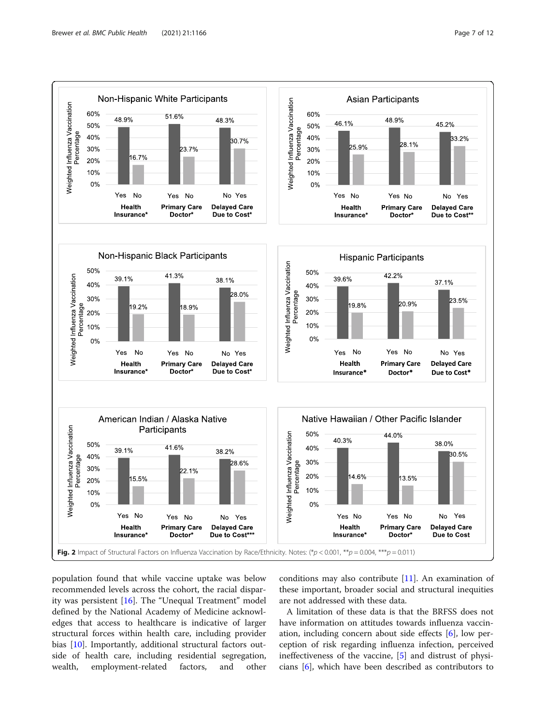<span id="page-6-0"></span>

population found that while vaccine uptake was below recommended levels across the cohort, the racial disparity was persistent [[16\]](#page-11-0). The "Unequal Treatment" model defined by the National Academy of Medicine acknowledges that access to healthcare is indicative of larger structural forces within health care, including provider bias [[10\]](#page-11-0). Importantly, additional structural factors outside of health care, including residential segregation, wealth, employment-related factors, and other

conditions may also contribute [\[11\]](#page-11-0). An examination of these important, broader social and structural inequities are not addressed with these data.

A limitation of these data is that the BRFSS does not have information on attitudes towards influenza vaccination, including concern about side effects [\[6](#page-11-0)], low perception of risk regarding influenza infection, perceived ineffectiveness of the vaccine, [[5\]](#page-11-0) and distrust of physicians [\[6](#page-11-0)], which have been described as contributors to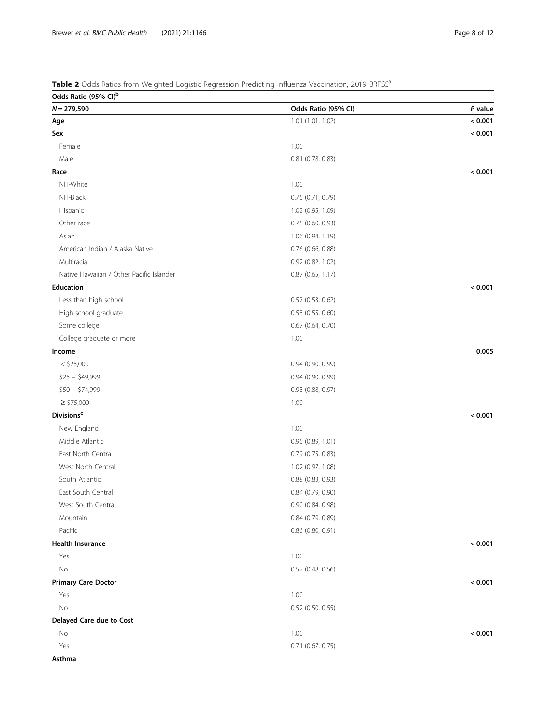## <span id="page-7-0"></span>Table 2 Odds Ratios from Weighted Logistic Regression Predicting Influenza Vaccination, 2019 BRFSS<sup>a</sup>

| Odds Ratio (95% CI) <sup>b</sup>         |                       |         |
|------------------------------------------|-----------------------|---------|
| $N = 279,590$                            | Odds Ratio (95% CI)   | P value |
| Age                                      | 1.01 (1.01, 1.02)     | < 0.001 |
| Sex                                      |                       | < 0.001 |
| Female                                   | 1.00                  |         |
| Male                                     | 0.81 (0.78, 0.83)     |         |
| Race                                     |                       | < 0.001 |
| NH-White                                 | 1.00                  |         |
| NH-Black                                 | 0.75 (0.71, 0.79)     |         |
| Hispanic                                 | 1.02 (0.95, 1.09)     |         |
| Other race                               | 0.75 (0.60, 0.93)     |         |
| Asian                                    | 1.06 (0.94, 1.19)     |         |
| American Indian / Alaska Native          | $0.76$ (0.66, 0.88)   |         |
| Multiracial                              | 0.92 (0.82, 1.02)     |         |
| Native Hawaiian / Other Pacific Islander | $0.87$ (0.65, 1.17)   |         |
| <b>Education</b>                         |                       | < 0.001 |
| Less than high school                    | $0.57$ (0.53, 0.62)   |         |
| High school graduate                     | 0.58 (0.55, 0.60)     |         |
| Some college                             | $0.67$ $(0.64, 0.70)$ |         |
| College graduate or more                 | 1.00                  |         |
| Income                                   |                       | 0.005   |
| $<$ \$25,000                             | 0.94 (0.90, 0.99)     |         |
| $$25 - $49,999$                          | 0.94 (0.90, 0.99)     |         |
| $$50 - $74,999$                          | 0.93 (0.88, 0.97)     |         |
| $\ge$ \$75,000                           | 1.00                  |         |
| <b>Divisions<sup>c</sup></b>             |                       | < 0.001 |
| New England                              | 1.00                  |         |
| Middle Atlantic                          | 0.95(0.89, 1.01)      |         |
| East North Central                       | $0.79$ (0.75, 0.83)   |         |
| West North Central                       | 1.02 (0.97, 1.08)     |         |
| South Atlantic                           | $0.88$ $(0.83, 0.93)$ |         |
| East South Central                       | $0.84$ (0.79, 0.90)   |         |
| West South Central                       | 0.90 (0.84, 0.98)     |         |
| Mountain                                 | 0.84 (0.79, 0.89)     |         |
| Pacific                                  | 0.86 (0.80, 0.91)     |         |
| <b>Health Insurance</b>                  |                       | < 0.001 |
| Yes                                      | 1.00                  |         |
| No                                       | 0.52 (0.48, 0.56)     |         |
| <b>Primary Care Doctor</b>               |                       | < 0.001 |
| Yes                                      | 1.00                  |         |
| No                                       | $0.52$ (0.50, 0.55)   |         |
| Delayed Care due to Cost                 |                       |         |
| No                                       | 1.00                  | < 0.001 |
| Yes                                      | $0.71$ $(0.67, 0.75)$ |         |
| A                                        |                       |         |

Asthma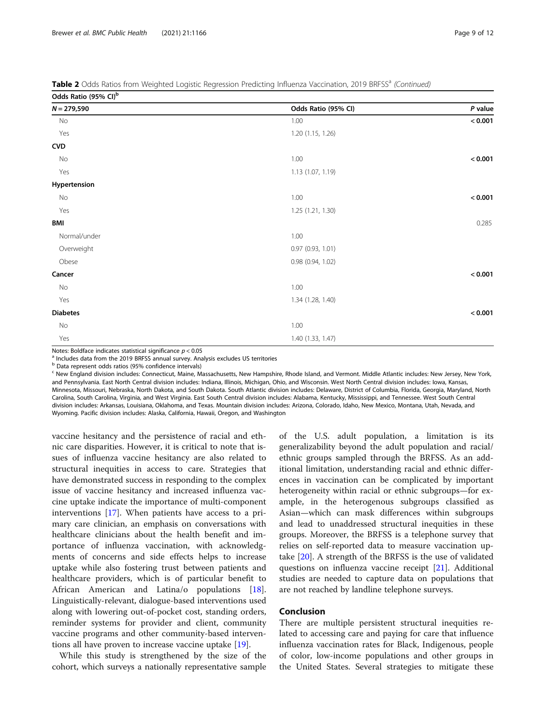Table 2 Odds Ratios from Weighted Logistic Regression Predicting Influenza Vaccination, 2019 BRFSS<sup>a</sup> (Continued)

Odds Ratio (95% CI)b

| $0.003$ nutro (2270 Ci) |                     |           |
|-------------------------|---------------------|-----------|
| $N = 279,590$           | Odds Ratio (95% CI) | $P$ value |
| No                      | 1.00                | < 0.001   |
| Yes                     | 1.20 (1.15, 1.26)   |           |
| <b>CVD</b>              |                     |           |
| No                      | 1.00                | < 0.001   |
| Yes                     | 1.13 (1.07, 1.19)   |           |
| Hypertension            |                     |           |
| No                      | 1.00                | < 0.001   |
| Yes                     | 1.25 (1.21, 1.30)   |           |
| BMI                     |                     | 0.285     |
| Normal/under            | 1.00                |           |
| Overweight              | 0.97 (0.93, 1.01)   |           |
| Obese                   | 0.98 (0.94, 1.02)   |           |
| Cancer                  |                     | < 0.001   |
| No                      | 1.00                |           |
| Yes                     | 1.34 (1.28, 1.40)   |           |
| <b>Diabetes</b>         |                     | < 0.001   |
| No                      | 1.00                |           |
| Yes                     | 1.40 (1.33, 1.47)   |           |
|                         |                     |           |

Notes: Boldface indicates statistical significance  $p < 0.05$ <br><sup>a</sup> Includes data from the 2019 BRFSS annual survey. Analysis excludes US territories

<sup>b</sup> Data represent odds ratios (95% confidence intervals)

<sup>c</sup> New England division includes: Connecticut, Maine, Massachusetts, New Hampshire, Rhode Island, and Vermont. Middle Atlantic includes: New Jersey, New York, and Pennsylvania. East North Central division includes: Indiana, Illinois, Michigan, Ohio, and Wisconsin. West North Central division includes: Iowa, Kansas, Minnesota, Missouri, Nebraska, North Dakota, and South Dakota. South Atlantic division includes: Delaware, District of Columbia, Florida, Georgia, Maryland, North Carolina, South Carolina, Virginia, and West Virginia. East South Central division includes: Alabama, Kentucky, Mississippi, and Tennessee. West South Central division includes: Arkansas, Louisiana, Oklahoma, and Texas. Mountain division includes: Arizona, Colorado, Idaho, New Mexico, Montana, Utah, Nevada, and Wyoming. Pacific division includes: Alaska, California, Hawaii, Oregon, and Washington

vaccine hesitancy and the persistence of racial and ethnic care disparities. However, it is critical to note that issues of influenza vaccine hesitancy are also related to structural inequities in access to care. Strategies that have demonstrated success in responding to the complex issue of vaccine hesitancy and increased influenza vaccine uptake indicate the importance of multi-component interventions [[17](#page-11-0)]. When patients have access to a primary care clinician, an emphasis on conversations with healthcare clinicians about the health benefit and importance of influenza vaccination, with acknowledgments of concerns and side effects helps to increase uptake while also fostering trust between patients and healthcare providers, which is of particular benefit to African American and Latina/o populations [\[18](#page-11-0)]. Linguistically-relevant, dialogue-based interventions used along with lowering out-of-pocket cost, standing orders, reminder systems for provider and client, community vaccine programs and other community-based interventions all have proven to increase vaccine uptake [[19](#page-11-0)].

While this study is strengthened by the size of the cohort, which surveys a nationally representative sample of the U.S. adult population, a limitation is its generalizability beyond the adult population and racial/ ethnic groups sampled through the BRFSS. As an additional limitation, understanding racial and ethnic differences in vaccination can be complicated by important heterogeneity within racial or ethnic subgroups—for example, in the heterogenous subgroups classified as Asian—which can mask differences within subgroups and lead to unaddressed structural inequities in these groups. Moreover, the BRFSS is a telephone survey that relies on self-reported data to measure vaccination uptake [[20\]](#page-11-0). A strength of the BRFSS is the use of validated questions on influenza vaccine receipt [[21](#page-11-0)]. Additional studies are needed to capture data on populations that are not reached by landline telephone surveys.

#### Conclusion

There are multiple persistent structural inequities related to accessing care and paying for care that influence influenza vaccination rates for Black, Indigenous, people of color, low-income populations and other groups in the United States. Several strategies to mitigate these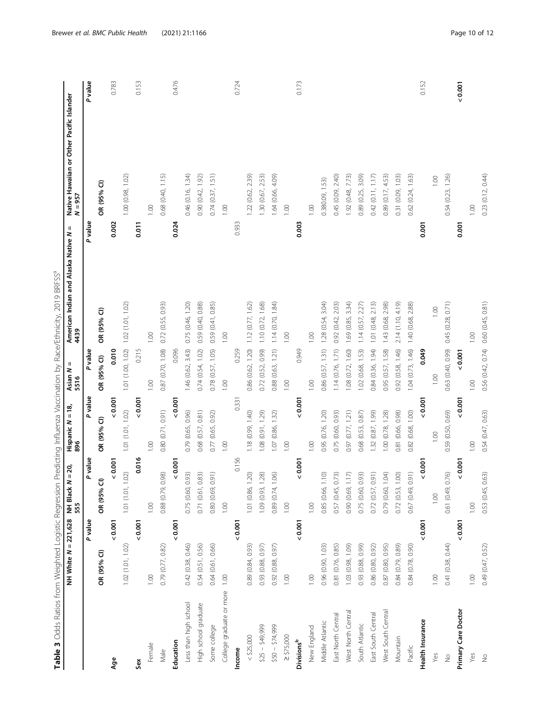<span id="page-9-0"></span>

|                          | NH White $N = 221,628$ NH Black $N$<br>555 |             | $= 20,$           | Hispanic $N = 18$ ,<br>896 | $\, \parallel$<br>Asian N<br>5516   | American Indian and Alaska Native N<br>4439 | Ш       | Native Hawaiian or Other Pacific Islander<br>N = 957 |         |
|--------------------------|--------------------------------------------|-------------|-------------------|----------------------------|-------------------------------------|---------------------------------------------|---------|------------------------------------------------------|---------|
|                          |                                            | P value     | P value           | P value                    | P value                             |                                             | P value |                                                      | P value |
|                          | OR (95% CI)                                | OR (95% CI) |                   | OR (95% CI)                | OR (95% CI)                         | OR (95% CI)                                 |         | OR (95% CI)                                          |         |
| Age                      |                                            | 0.001       | 0.001             | 0.001                      | 0.010                               |                                             | 0.002   |                                                      | 0.783   |
|                          | 1.02(1.01, 1.02)                           |             | 1.01 (1.01, 1.02) | 1.01 (1.01, 1.02)          | 1.01 (1.00, 1.02)                   | 1.02(1.01, 1.02)                            |         | 1.00 (0.98, 1.02)                                    |         |
| Sex                      |                                            | 0.001       | 0.016             | 0.001                      | 0.215                               |                                             | 0.011   |                                                      | 0.153   |
| Female                   | 1.00                                       | 1.00        |                   | 1.00                       | 1.00                                | 1.00                                        |         | 1.00                                                 |         |
| Male                     | 0.79 (0.77, 0.82)                          |             | 0.88 (0.79, 0.98) | 0.80 (0.71, 0.91)          | 0.87 (0.70, 1.08)                   | 0.72(0.55, 0.93)                            |         | 0.68 (0.40, 1.15)                                    |         |
| Education                |                                            | 0.001       | 0.001             | 0.007                      | 0.096                               |                                             | 0.024   |                                                      | 0.476   |
| Less than high school    | 0.42 (0.38, 0.46)                          |             | 0.75 (0.60, 0.93) | 0.79 (0.65, 0.96)          | 1.46 (0.62, 3.43)                   | 0.75 (0.46, 1.20)                           |         | 0.46 (0.16, 1.34)                                    |         |
| High school graduate     | 0.54 (0.51, 0.56)                          |             | 0.71 (0.61, 0.83) | 0.68 (0.57, 0.81)          | 0.74(0.54, 1.02)                    | 0.59 (0.40, 0.88)                           |         | 0.90 (0.42, 1.92)                                    |         |
| Some college             | 0.64 (0.61, 0.66)                          |             | 0.80 (0.69, 0.91) | 0.77 (0.65, 0.92)          | 0.78(0.57, 1.05)                    | 0.59 (0.41, 0.85)                           |         | 0.74(0.37, 1.51)                                     |         |
| College graduate or more | 1.00                                       | 1.00        |                   | 1.00                       | 1.00                                | 1.00                                        |         | 1.00                                                 |         |
| Income                   |                                            | 0.001       | 0.156             | 0.331                      | 0.259                               |                                             | 0.933   |                                                      | 0.724   |
| $<$ \$25,000             | 0.89 (0.84, 0.93)                          |             | 1.01 (0.86, 1.20) | 1.18 (0.99, 1.40)          | 0.86 (0.62, 1.20)                   | 1.12(0.77, 1.62)                            |         | 1.22 (0.62, 2.39)                                    |         |
| $$25 - $49,999$          | 0.93 (0.88, 0.97)                          |             | 1.09 (0.93, 1.28) | 1.08 (0.91, 1.29)          | 0.72(0.52, 0.99)                    | 1.10 (0.72, 1.68)                           |         | 1.30 (0.67, 2.53)                                    |         |
| $$50 - $74,999$          | 0.92 (0.88, 0.97)                          |             | 0.89 (0.74, 1.06) | 1.07 (0.86, 1.32)          | 0.88 (0.63, 1.21)                   | 1.14(0.70, 1.84)                            |         | 1.64 (0.66, 4.09)                                    |         |
| $\ge$ \$75,000           | 1.00                                       | $1.00$      |                   | 1.00                       | 1.00                                | 1.00                                        |         | 1.00                                                 |         |
| Divisions <sup>b</sup>   |                                            | 0.001       | 0.001             | 0.001                      | 0.949                               |                                             | 0.003   |                                                      | 0.173   |
| New England              | 1.00                                       | 1.00        |                   | 1.00                       | 1.00                                | 1.00                                        |         | 0.001                                                |         |
| Middle Atlantic          | 0.96 (0.90, 1.03)                          |             | 0.85 (0.66, 1.10) | 0.95 (0.76, 1.20)          | 0.86(0.57, 1.31)                    | 3.04)<br>1.28 (0.54,                        |         | 0.380.09, 1.53)                                      |         |
| East North Central       | 0.81 (0.76, 0.85)                          |             | 0.57 (0.45, 0.73) | 0.75 (0.60, 0.93)          | 1.14 (0.76, 1.71)                   | 0.92 (0.42, 2.03)                           |         | 0.45 (0.09, 2.40)                                    |         |
| West North Central       | 1.03 (0.98, 1.09)                          |             | 0.90 (0.69, 1.17) | 0.97 (0.77, 1.21)          | 1.08(0.72, 1.60)                    | 1.69 (0.85, 3.34)                           |         | 1.92 (0.48, 7.73)                                    |         |
| South Atlantic           | 0.93 (0.88, 0.99)                          |             | 0.75 (0.60, 0.93) | 0.68 (0.53, 0.87)          | 1.02(0.68, 1.53)                    | 1.14(0.57, 2.27)                            |         | 0.89 (0.25, 3.09)                                    |         |
| East South Central       | 0.86 (0.80, 0.92)                          |             | 0.72(0.57, 0.91)  | 1.32 (0.87, 1.99)          | 0.84 (0.36, 1.94)                   | 1.01 (0.48, 2.13)                           |         | 0.42(0.11, 1.17)                                     |         |
| West South Central       | 0.87 (0.80, 0.95)                          |             | 0.79 (0.60, 1.04) | 1.00 (0.78, 1.28)          | 0.95 (0.57, 1.58)                   | 1.43 (0.68, 2.98)                           |         | 0.89 (0.17, 4.53)                                    |         |
| Mountain                 | 0.84 (0.79, 0.89)                          |             | 0.72(0.53, 1.00)  | 0.81 (0.66, 0.98)          | 0.92(0.58, 1.46)                    | 2.14 (1.10, 4.19)                           |         | 0.31 (0.09, 1.03)                                    |         |
| Pacific                  | 0.84 (0.78, 0.90)                          |             | 0.67 (0.49, 0.91) | 0.82 (0.68, 1.00)          | 1.04(0.73, 1.46)                    | 1.40 (0.68, 2.88)                           |         | 0.62 (0.24, 1.63)                                    |         |
| Health Insurance         |                                            | 0.001       | 0.001             | $\frac{5}{3}$              | 0.049                               |                                             | 0.001   |                                                      | 0.152   |
| Yes                      | 0.00                                       | 1.00        |                   | 1.00                       | 1.00                                | 1.00                                        |         | 1.00                                                 |         |
| $\frac{1}{2}$            | 0.41 (0.38, 0.44)                          |             | 0.61 (0.49, 0.76) | 0.59 (0.50, 0.69)          | 0.63 (0.40, 0.99)                   | 0.45 (0.28, 0.71)                           |         | 0.54 (0.23, 1.26)                                    |         |
| Primary Care Doctor      |                                            | 0.001       | 0.001             | 0.001                      | 0.001                               |                                             | 0.001   |                                                      | 0.001   |
| Yes                      | 1.00                                       | 1.00        |                   | 1.00                       | 1.00                                | 1.00                                        |         | 1.00                                                 |         |
| $\stackrel{\circ}{\geq}$ | 0.49 (0.47, 0.52)                          |             | 0.53 (0.45, 0.63) | 0.54 (0.47, 0.63)          | 0.56 (0.42, 0.74) 0.60 (0.45, 0.81) |                                             |         | 0.23 (0.12, 0.44)                                    |         |

Table 3 Odds Ratios from Weighted Logistic Regression Predicting Influenza Vaccination by Race/Ethnicity, 2019 BRFSS<sup>a</sup> Table 3 Odds Ratios from Weighted Logistic Regression Predicting Influenza Vaccination by Race/Ethnicity, 2019 BRFSS°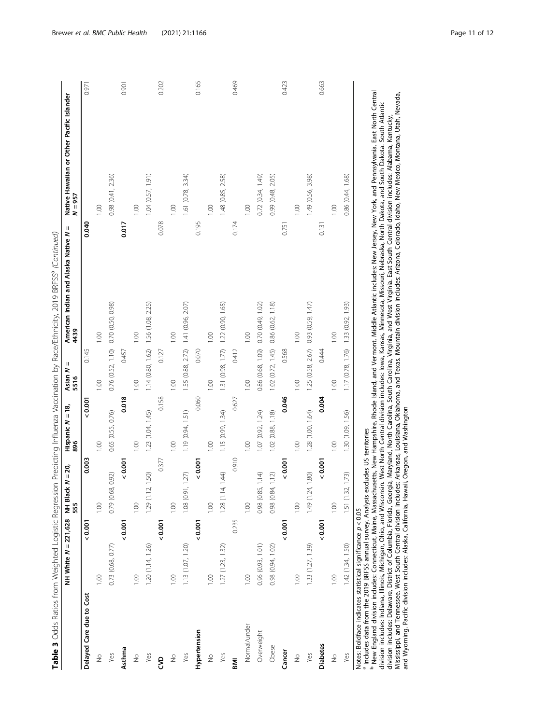|                                                                                                                                                                                                                                                                                                                                                                                  | NH White $N = 221,628$ | $N = 20,$<br>NH Black /<br>555 | Hispanic N = 18,<br>896 | $\sf II$<br>Asian N<br>5516            | Ш<br>American Indian and Alaska Native N<br>4439 | Native Hawaiian or Other Pacific Islander<br>$N = 957$ |
|----------------------------------------------------------------------------------------------------------------------------------------------------------------------------------------------------------------------------------------------------------------------------------------------------------------------------------------------------------------------------------|------------------------|--------------------------------|-------------------------|----------------------------------------|--------------------------------------------------|--------------------------------------------------------|
| Delayed Care due to Cost                                                                                                                                                                                                                                                                                                                                                         | 0.001                  | 0.003                          | 0.001                   | 0.145                                  | 0.040                                            | 0.971                                                  |
| $\stackrel{\circ}{\geq}$                                                                                                                                                                                                                                                                                                                                                         | 1.00                   | 1.00                           | 1.00                    | 0.00                                   | 001                                              | 0.00                                                   |
| Yes                                                                                                                                                                                                                                                                                                                                                                              | 0.73 (0.68, 0.77)      | 0.92)<br>0.79 (0.68,           | 0.65 (0.55, 0.76)       | 0.76(0.52, 1.10)                       | 0.70 (0.50, 0.98)                                | 0.98 (0.41, 2.36)                                      |
| Asthma                                                                                                                                                                                                                                                                                                                                                                           | 0.001                  | 0.001                          | 0.018                   | 0.457                                  | 0.017                                            | 0.901                                                  |
| $\frac{1}{2}$                                                                                                                                                                                                                                                                                                                                                                    | 0.00                   | 1.00                           | 001                     | 0.00                                   | 0.00                                             | 0.00                                                   |
| Yes                                                                                                                                                                                                                                                                                                                                                                              | 1.20 (1.14, 1.26)      | 1.50)<br>1.29(1.12)            | 1.23 (1.04, 1.45)       | $1.14(0.80, 1.62)$ $1.56(1.08, 2.25)$  |                                                  | 1.04(0.57, 1.91)                                       |
| 9S                                                                                                                                                                                                                                                                                                                                                                               | 0.001                  | 0.377                          | 0.158                   | 0.127                                  | 0.078                                            | 0.202                                                  |
| $\frac{1}{2}$                                                                                                                                                                                                                                                                                                                                                                    | 00.1                   | 1.00                           | 001                     | 001                                    | 0.001                                            | 0.00                                                   |
| Yes                                                                                                                                                                                                                                                                                                                                                                              | 1.13 (1.07, 1.20)      | 1.08(0.91, 1.27)               | 1.19(0.94, 1.51)        | 1.55 (0.88, 2.72) 1.41 (0.96, 2.07)    |                                                  | 1.61 (0.78, 3.34)                                      |
| Hypertension                                                                                                                                                                                                                                                                                                                                                                     | 0.001                  | 0.001                          | 0.060                   | 0.070                                  | 0.195                                            | 0.165                                                  |
| $\frac{1}{2}$                                                                                                                                                                                                                                                                                                                                                                    | 1.00                   | 1.00                           | 001                     | 0.00                                   | 0.00                                             | 0.00                                                   |
| Yes                                                                                                                                                                                                                                                                                                                                                                              | 1.27(1.23, 1.32)       | 1.44<br>1.28(1.14,             | 1.15 (0.99, 1.34)       | 1.31 (0.98, 1.77) 1.22 (0.90, 1.65)    |                                                  | 1.48 (0.85, 2.58)                                      |
| <b>INI</b>                                                                                                                                                                                                                                                                                                                                                                       | 0.235                  | 0.910                          | 0.627                   | 0.412                                  | 0.174                                            | 0.469                                                  |
| Normal/under                                                                                                                                                                                                                                                                                                                                                                     | 1.00                   | 1.00                           | 001                     | 0.00                                   | 0.00                                             | 0.00                                                   |
| Overweight                                                                                                                                                                                                                                                                                                                                                                       | 0.96(0.93, 1.01)       | 1.14<br>0.98 (0.85,            | 1.07 (0.92, 1.24)       | 0.86 (0.68, 1.09)                      | 0.70(0.49, 1.02)                                 | 0.72(0.34, 1.49)                                       |
| Obese                                                                                                                                                                                                                                                                                                                                                                            | 0.98(0.94, 1.02)       | 1.12)<br>0.98 (0.84,           | 1.02 (0.88, 1.18)       | 1.02 (0.72, 1.45)                      | 0.86 (0.62, 1.18)                                | 0.99 (0.48, 2.05)                                      |
| Cancer                                                                                                                                                                                                                                                                                                                                                                           | 0.001                  | 0.001                          | 0.046                   | 0.568                                  | 0.751                                            | 0.423                                                  |
| $\frac{1}{2}$                                                                                                                                                                                                                                                                                                                                                                    | 1.00                   | 1.00                           | 001                     | 0.00                                   | 1.00                                             | 0.00                                                   |
| Yes                                                                                                                                                                                                                                                                                                                                                                              | 1.33 (1.27, 1.39)      | 1.49 (1.24, 1.80)              | 1.28 (1.00, 1.64)       | 1.25 (0.58, 2.67) 0.93 (0.59, 1.47)    |                                                  | 1.49 (0.56, 3.98)                                      |
| <b>Diabetes</b>                                                                                                                                                                                                                                                                                                                                                                  | 0.001                  | 0.001                          | 0.004                   | 0.444                                  | 0.131                                            | 0.663                                                  |
| $\frac{1}{2}$                                                                                                                                                                                                                                                                                                                                                                    | 0.00                   | 1.00                           | 1.00                    | 1.00                                   | 1.00                                             | 1.00                                                   |
| Yes                                                                                                                                                                                                                                                                                                                                                                              | 1.42(1.34, 1.50)       | 1.73)<br>1.51(1.32)            | 1.30 (1.09, 1.56)       | $1.17(0.78, 1.76)$ 1.33 $(0.92, 1.93)$ |                                                  | 0.86 (0.44, 1.68)                                      |
| <sup>b</sup> New England division includes: Connecticut, Maine, Massachusetts, Mew Hampshire, Rhode Island, and Vermont. Middle Atlantic includes: New Jersey, New York, and Pennsylvania. East North Central<br><sup>a</sup> Includes data from the 2019 BRFSS annual survey. Analysis excludes US territories<br>Notes: Boldface indicates statistical significance $p < 0.05$ |                        |                                |                         |                                        |                                                  |                                                        |

Table 3 Odds Ratios from Weighted Logistic Regression Predicting Influenza Vaccination by Race/Ethnicity, 2019 BRFSS<sup>a</sup> (Continued) Table 3 Odds Ratios from Weighted Logistic Regression Predicting Influenza Vaccination by Race/Ethnicity, 2019 BRFSS<sup>a</sup> (Co*ntinued*)

Noes: Boldfice indicates statistical significance  $p < 0.05$ <br>a in dues data rom the 2019 BRFS annual survey. Analysis excludes US territories Roode Island, and Vermont. Middle Atlantic includes: New Jessy, new ............. division includes: Indiana, Illinois, Michigan, Ohio, and Wisconsin. West North Central division includes: Iowa, Kansas, Minnesota, Missouri, Nebraska, North Dakota, and South Dakota. South Atlantic division includes: Delaware, District of Columbia, Florida, Georgia, Maryland, North Carolina, South Carolina, Virginia, and West Virginia. East South Central division includes: Alabama, Kentucky, Mississippi, and Tennessee. West South Central division includes: Arkansas, Louisiana, Oklahoma, and Texas. Mountain division includes: Arizona, Colorado, Idaho, New Mexico, Montana, Utah, Nevada, and Wyoming. Pacific division includes: Alaska, California, Hawaii, Oregon, and Washington